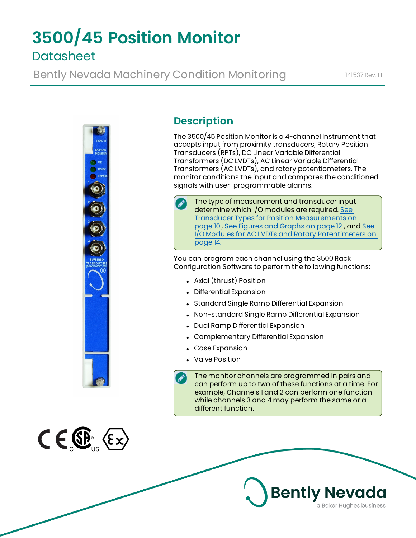# **3500/45 Position Monitor Datasheet**

Bently Nevada Machinery Condition Monitoring 141537 Rev. H



# **Description**

The 3500/45 Position Monitor is a 4-channel instrument that accepts input from proximity transducers, Rotary Position Transducers (RPTs), DC Linear Variable Differential Transformers (DC LVDTs), AC Linear Variable Differential Transformers (AC LVDTs), and rotary potentiometers. The monitor conditions the input and compares the conditioned signals with user-programmable alarms.

The type of measurement and transducer input determine which I/O modules are required. [See](#page-9-0) Transducer Types for Position [Measurements](#page-9-0) on [page 10.](#page-9-0), See Figures and [Graphs on](#page-11-0) page 12., and [See](#page-13-0) I/O Modules for AC LVDTs and Rotary [Potentimeters](#page-13-0) on [page 14.](#page-13-0)

You can program each channel using the 3500 Rack Configuration Software to perform the following functions:

- Axial (thrust) Position
- Differential Expansion
- Standard Single Ramp Differential Expansion
- Non-standard Single Ramp Differential Expansion
- Dual Ramp Differential Expansion
- Complementary Differential Expansion
- Case Expansion
- . Valve Position

The monitor channels are programmed in pairs and can perform up to two of these functions at a time. For example, Channels 1 and 2 can perform one function while channels 3 and 4 may perform the same or a different function.



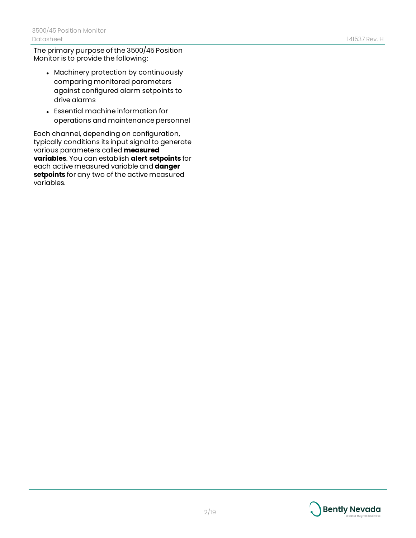The primary purpose of the 3500/45 Position Monitor is to provide the following:

- Machinery protection by continuously comparing monitored parameters against configured alarm setpoints to drive alarms
- Essential machine information for operations and maintenance personnel

Each channel, depending on configuration, typically conditions its input signal to generate various parameters called **measured variables**. You can establish **alert setpoints** for each active measured variable and **danger setpoints** for any two of the active measured variables.

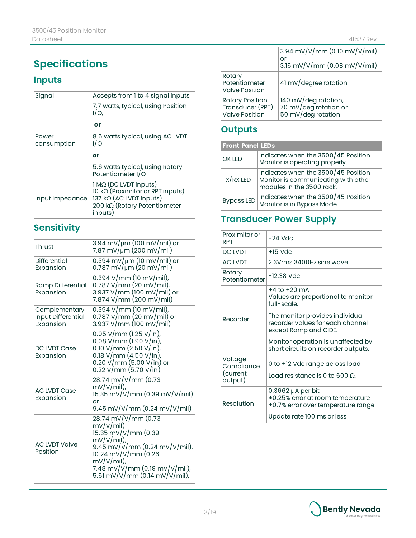# **Specifications**

# **Inputs**

| Signal               | Accepts from 1 to 4 signal inputs                                                                                                 |  |
|----------------------|-----------------------------------------------------------------------------------------------------------------------------------|--|
|                      | 7.7 watts, typical, using Position<br>I/O                                                                                         |  |
|                      | or                                                                                                                                |  |
| Power<br>consumption | 8.5 watts typical, using AC LVDT<br>1/O                                                                                           |  |
|                      | or                                                                                                                                |  |
|                      | 5.6 watts typical, using Rotary<br>Potentiometer I/O                                                                              |  |
| Input Impedance      | 1 MΩ (DC LVDT inputs)<br>10 kΩ (Proximitor or RPT inputs)<br>$137$ kQ (AC LVDT inputs)<br>200 kΩ (Rotary Potentiometer<br>inputs) |  |

# **Sensitivity**

| Thrust                                           | 3.94 mV/µm (100 mV/mil) or<br>7.87 mV/um (200 mV/mil)                                                                                                                                                             |
|--------------------------------------------------|-------------------------------------------------------------------------------------------------------------------------------------------------------------------------------------------------------------------|
| Differential<br>Expansion                        | $0.394 \text{ mV}$ /µm (10 mV/mil) or<br>$0.787 \text{ mV} / \mu \text{m}$ (20 mV/mil)                                                                                                                            |
| Ramp Differential<br>Expansion                   | $0.394$ V/mm (10 mV/mil),<br>0.787 V/mm (20 mV/min),<br>3.937 V/mm (100 mV/mil) or<br>7.874 V/mm (200 mV/mil)                                                                                                     |
| Complementary<br>Input Differential<br>Expansion | $0.394$ V/mm (10 mV/mil),<br>0.787 V/mm (20 mV/mil) or<br>3.937 $V/mm$ (100 mV/mil)                                                                                                                               |
| DC LVDT Case<br>Expansion                        | 0.05 V/mm (1.25 V/in),<br>$0.08$ V/mm (1.90 V/in),<br>$0.10 \text{ V/mm} (2.50 \text{ V/in})$<br>0.18 $V/mm$ (4.50 $V/in$ ),<br>0.20 V/mm (5.00 V/in) or<br>$0.22 \text{ V/mm}$ $(5.70 \text{ V/in})$             |
| <b>AC LVDT Case</b><br>Expansion                 | 28.74 mV/V/mm (0.73<br>$mV/V/min$ ),<br>15.35 mV/V/mm (0.39 mV/V/mil)<br>or<br>9.45 mV/V/mm (0.24 mV/V/mil)                                                                                                       |
| <b>AC LVDT Valve</b><br>Position                 | 28.74 mV/V/mm (0.73<br>mV/V/min)<br>15.35 mV/V/mm (0.39<br>$mV/V/ml$ ),<br>9.45 mV/V/mm (0.24 mV/V/mil),<br>10.24 mV/V/mm (0.26<br>$mV/V/ml$ ),<br>7.48 mV/V/mm (0.19 mV/V/mil),<br>5.51 mV/V/mm (0.14 mV/V/mil), |

|                                                              | 3.94 mV/V/mm (0.10 mV/V/mil)<br>or<br>3.15 mV/V/mm (0.08 mV/V/mil)  |
|--------------------------------------------------------------|---------------------------------------------------------------------|
| Rotary<br>Potentiometer<br><b>Valve Position</b>             | 41 mV/degree rotation                                               |
| Rotary Position<br>Transducer (RPT)<br><b>Valve Position</b> | 140 mV/deg rotation,<br>70 mV/deg rotation or<br>50 mV/deg rotation |

### **Outputs**

| <b>Front Panel LEDs</b> |                                                                                                         |
|-------------------------|---------------------------------------------------------------------------------------------------------|
| OK LED                  | Indicates when the 3500/45 Position<br>Monitor is operating properly.                                   |
| TX/RX LED               | Indicates when the 3500/45 Position<br>Monitor is communicating with other<br>modules in the 3500 rack. |
| <b>Bypass LED</b>       | Indicates when the 3500/45 Position<br>Monitor is in Bypass Mode.                                       |

# **Transducer Power Supply**

| Proximitor or<br><b>RPT</b> | -24 Vdc                                                                                       |
|-----------------------------|-----------------------------------------------------------------------------------------------|
| DC IVDT                     | $+15$ Vdc                                                                                     |
| <b>AC IVDT</b>              | 2.3Vrms 3400Hz sine wave                                                                      |
| Rotary<br>Potentiometer     | -12.38 Vdc                                                                                    |
|                             | +4 to +20 mA<br>Values are proportional to monitor<br>full-scale.                             |
| Recorder                    | The monitor provides individual<br>recorder values for each channel<br>except Ramp and CIDE.  |
|                             | Monitor operation is unaffected by<br>short circuits on recorder outputs.                     |
| Voltage<br>Compliance       | 0 to +12 Vdc range across load                                                                |
| (current<br>output)         | Load resistance is 0 to 600 O.                                                                |
| Resolution                  | $0.3662$ µA per bit<br>±0.25% error at room temperature<br>±0.7% error over temperature range |
|                             | Update rate 100 ms or less                                                                    |

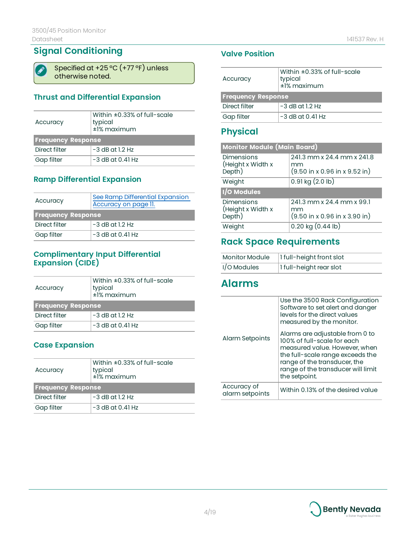### **Signal Conditioning**

Specified at +25 ºC (+77 ºF) unless otherwise noted.

### **Thrust and Differential Expansion**

| Accuracy                  | Within $\pm 0.33\%$ of full-scale<br>typical<br>$±1%$ maximum |  |
|---------------------------|---------------------------------------------------------------|--|
| <b>Frequency Response</b> |                                                               |  |
| Direct filter             | $-3$ dB at 1.2 Hz                                             |  |
| Gap filter                | $-3$ dB at 0.41 Hz                                            |  |

### **Ramp Differential Expansion**

| Accuracy                  | See Ramp Differential Expansion<br>Accuracy on page 11. |  |
|---------------------------|---------------------------------------------------------|--|
| <b>Frequency Response</b> |                                                         |  |
| Direct filter             | $-3$ dB at 1.2 Hz                                       |  |
| Gap filter                | $-3$ dB at 0.41 Hz                                      |  |

### **Complimentary Input Differential Expansion (CIDE)**

| Accuracy                  | Within $\pm 0.33\%$ of full-scale<br>typical<br>$±1%$ maximum |  |
|---------------------------|---------------------------------------------------------------|--|
| <b>Frequency Response</b> |                                                               |  |
| Direct filter             | $-3$ dB at 1.2 Hz                                             |  |
| Gap filter                | $-3$ dB at 0.41 Hz                                            |  |

### **Case Expansion**

| Accuracy                  | Within $\pm 0.33\%$ of full-scale<br>typical<br>$\pm$ 1% maximum |  |
|---------------------------|------------------------------------------------------------------|--|
| <b>Frequency Response</b> |                                                                  |  |
| Direct filter             | $-3$ dB at 1.2 Hz                                                |  |
| Gap filter                | $-3$ dB at 0.41 Hz                                               |  |

### **Valve Position**

| Accuracy                  | Within $\pm 0.33\%$ of full-scale<br>typical<br>$\pm$ 1% maximum |  |
|---------------------------|------------------------------------------------------------------|--|
| <b>Frequency Response</b> |                                                                  |  |
| Direct filter             | $-3$ dB at 1.2 Hz                                                |  |
| Gap filter                | $-3$ dB at 0.41 Hz                                               |  |

### **Physical**

| <b>Monitor Module (Main Board)</b>               |                                                                                               |  |
|--------------------------------------------------|-----------------------------------------------------------------------------------------------|--|
| <b>Dimensions</b><br>(Height x Width x<br>Depth) | 241.3 mm x 24.4 mm x 241.8<br>mm<br>$(9.50 \text{ in } x 0.96 \text{ in } x 9.52 \text{ in})$ |  |
| Weight                                           | $0.91$ kg $(2.0$ lb)                                                                          |  |
| I/O Modules                                      |                                                                                               |  |
| <b>Dimensions</b><br>(Height x Width x<br>Depth) | 241.3 mm x 24.4 mm x 99.1<br>mm<br>$(9.50 \text{ in } x 0.96 \text{ in } x 3.90 \text{ in})$  |  |
| Weight                                           | $0.20$ kg $(0.44$ lb)                                                                         |  |

### **Rack Space Requirements**

| <b>Monitor Module</b> | 1 full-height front slot |
|-----------------------|--------------------------|
| I/O Modules           | 1 full-height rear slot  |

# **Alarms**

|                                | Use the 3500 Rack Configuration<br>Software to set alert and danger<br>levels for the direct values<br>measured by the monitor.                                                                                            |
|--------------------------------|----------------------------------------------------------------------------------------------------------------------------------------------------------------------------------------------------------------------------|
| Alarm Setpoints                | Alarms are adjustable from 0 to<br>100% of full-scale for each<br>measured value. However, when<br>the full-scale range exceeds the<br>range of the transducer, the<br>range of the transducer will limit<br>the setpoint. |
| Accuracy of<br>alarm setpoints | Within 0.13% of the desired value                                                                                                                                                                                          |

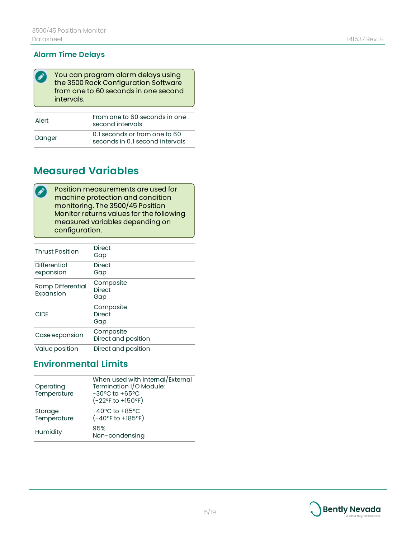#### **Alarm Time Delays**

| ◢ | You can program alarm delays using<br>the 3500 Rack Configuration Software<br>from one to 60 seconds in one second<br>intervals. |
|---|----------------------------------------------------------------------------------------------------------------------------------|
|   |                                                                                                                                  |
|   | Eram and to 60 seconds in and                                                                                                    |

| Alert  | From one to 60 seconds in one<br>$\vert$ second intervals                |  |
|--------|--------------------------------------------------------------------------|--|
| Danger | $\vert$ 0.1 seconds or from one to 60<br>seconds in 0.1 second intervals |  |

# **Measured Variables**

Position measurements are used for  $\bullet$ machine protection and condition monitoring. The 3500/45 Position Monitor returns values for the following measured variables depending on configuration.

| <b>Thrust Position</b>         | <b>Direct</b><br>Gap              |
|--------------------------------|-----------------------------------|
| Differential<br>expansion      | <b>Direct</b><br>Gap              |
| Ramp Differential<br>Expansion | Composite<br><b>Direct</b><br>Gap |
| <b>CIDE</b>                    | Composite<br><b>Direct</b><br>Gap |
| Case expansion                 | Composite<br>Direct and position  |
| Value position                 | Direct and position               |

### **Environmental Limits**

| Operating<br>Temperature | When used with Internal/External<br>Termination I/O Module:<br>-30°C to +65°C<br>(-22°F to +150°F) |
|--------------------------|----------------------------------------------------------------------------------------------------|
| Storage<br>Temperature   | $-40^{\circ}$ C to $+85^{\circ}$ C<br>$(-40^{\circ}$ F to $+185^{\circ}$ F)                        |
| Humidity                 | 95%<br>Non-condensing                                                                              |



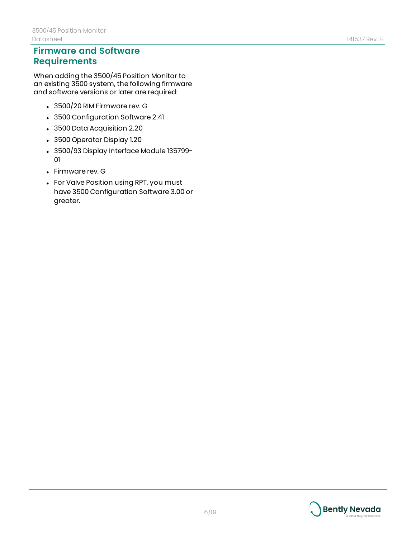### **Firmware and Software Requirements**

When adding the 3500/45 Position Monitor to an existing 3500 system, the following firmware and software versions or later are required:

- $\cdot$  3500/20 RIM Firmware rev. G
- 3500 Configuration Software 2.41
- 3500 Data Acquisition 2.20
- 3500 Operator Display 1.20
- 3500/93 Display Interface Module 135799-01
- Firmware rev. G
- For Valve Position using RPT, you must have 3500 Configuration Software 3.00 or greater.

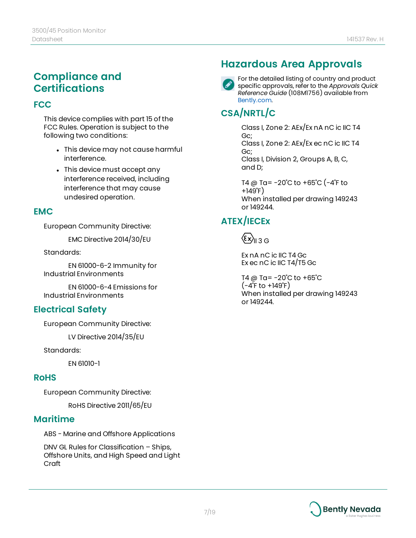### **Compliance and Certifications**

#### **FCC**

This device complies with part 15 of the FCC Rules. Operation is subject to the following two conditions:

- This device may not cause harmful interference.
- This device must accept any interference received, including interference that may cause undesired operation.

#### **EMC**

European Community Directive:

EMC Directive 2014/30/EU

Standards:

EN 61000-6-2 Immunity for Industrial Environments

EN 61000-6-4 Emissions for Industrial Environments

### **Electrical Safety**

European Community Directive:

LV Directive 2014/35/EU

Standards:

EN 61010-1

#### **RoHS**

European Community Directive:

RoHS Directive 2011/65/EU

### **Maritime**

ABS - Marine and Offshore Applications

DNV GL Rules for Classification – Ships, Offshore Units, and High Speed and Light Craft

# **Hazardous Area Approvals**



For the detailed listing of country and product specific approvals, refer to the *Approvals Quick Reference Guide* (108M1756) available from [Bently.com.](http://www.bently.com/)

# **CSA/NRTL/C**

Class I, Zone 2: AEx/Ex nA nC ic IIC T4 Gc; Class I, Zone 2: AEx/Ex ec nC ic IIC T4 Gc; Class I, Division 2, Groups A, B, C, and D;

T4 @ Ta= -20˚C to +65˚C (-4˚F to +149˚F) When installed per drawing 149243 or 149244.

# **ATEX/IECEx**

 $\langle \epsilon x \rangle_{\text{II} 3 \text{G}}$ 

Ex nA nC ic IIC T4 Gc Ex ec nC ic IIC T4/T5 Gc

T4 @ Ta= $-20^{\circ}$ C to  $+65^{\circ}$ C  $(-4^{\circ}$ F to  $+149^{\circ}$ F) When installed per drawing 149243 or 149244.

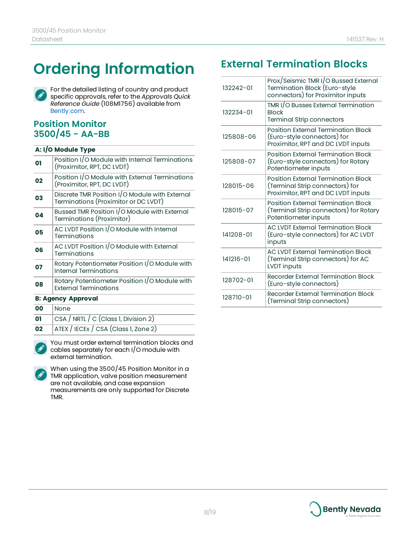# **Ordering Information**



For the detailed listing of country and product specific approvals, refer to the *Approvals Quick Reference Guide* (108M1756) available from [Bently.com.](http://www.bently.com/)

### **Position Monitor 3500/45 - AA-BB**

#### **A: I/O Module Type**

| 01 | Position I/O Module with Internal Terminations<br>(Proximitor, RPT, DC LVDT)           |  |  |
|----|----------------------------------------------------------------------------------------|--|--|
| 02 | Position I/O Module with External Terminations<br>(Proximitor, RPT, DC LVDT)           |  |  |
| 03 | Discrete TMR Position I/O Module with External<br>Terminations (Proximitor or DC LVDT) |  |  |
| 04 | Bussed TMR Position I/O Module with External<br>Terminations (Proximitor)              |  |  |
| 05 | AC LVDT Position I/O Module with Internal<br>Terminations                              |  |  |
| 06 | AC LVDT Position I/O Module with External<br>Terminations                              |  |  |
| 07 | Rotary Potentiometer Position I/O Module with<br><b>Internal Terminations</b>          |  |  |
| 08 | Rotary Potentiometer Position I/O Module with<br><b>External Terminations</b>          |  |  |
|    | <b>B: Agency Approval</b>                                                              |  |  |
| 00 | None                                                                                   |  |  |
| 01 | CSA / NRTL / C (Class 1, Division 2)                                                   |  |  |
| 02 | ATEX / IECEx / CSA (Class 1, Zone 2)                                                   |  |  |

You must order external termination blocks and cables separately for each I/O module with external termination.



# **External Termination Blocks**

| 132242-01 | Prox/Seismic TMR I/O Bussed External<br>Termination Block (Euro-style<br>connectors) for Proximitor inputs   |
|-----------|--------------------------------------------------------------------------------------------------------------|
| 132234-01 | TMR I/O Busses External Termination<br><b>Block</b><br><b>Terminal Strip connectors</b>                      |
| 125808-06 | Position External Termination Block<br>(Euro-style connectors) for<br>Proximitor, RPT and DC LVDT inputs     |
| 125808-07 | Position External Termination Block<br>(Euro-style connectors) for Rotary<br>Potentiometer inputs            |
| 128015-06 | Position External Termination Block<br>(Terminal Strip connectors) for<br>Proximitor, RPT and DC LVDT inputs |
| 128015-07 | Position External Termination Block<br>(Terminal Strip connectors) for Rotary<br>Potentiometer inputs        |
| 141208-01 | <b>AC LVDT External Termination Block</b><br>(Euro-style connectors) for AC LVDT<br>inputs                   |
| 141216-01 | <b>AC LVDT External Termination Block</b><br>(Terminal Strip connectors) for AC<br>LVDT inputs               |
| 128702-01 | Recorder External Termination Block<br>(Euro-style connectors)                                               |
| 128710-01 | Recorder External Termination Block<br>(Terminal Strip connectors)                                           |

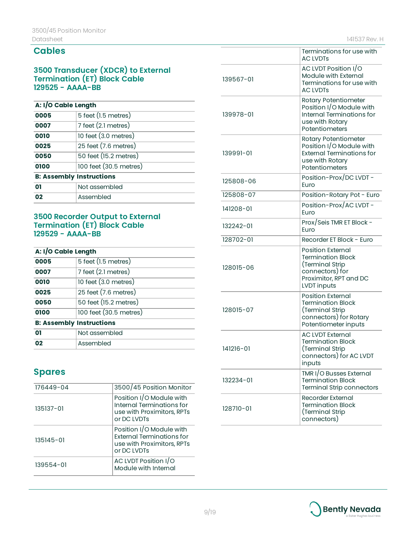#### **Cables**

#### **3500 Transducer (XDCR) to External Termination (ET) Block Cable 129525 - AAAA-BB**

#### **A: I/O Cable Length**

| 0005                            | 5 feet (1.5 metres)    |  |
|---------------------------------|------------------------|--|
| 0007                            | 7 feet (2.1 metres)    |  |
| 0010                            | 10 feet $(3.0$ metres) |  |
| 0025                            | 25 feet (7.6 metres)   |  |
| 0050                            | 50 feet (15.2 metres)  |  |
| 0100                            | 100 feet (30.5 metres) |  |
| <b>B: Assembly Instructions</b> |                        |  |
| 01                              | Not assembled          |  |
| 02                              | Assembled              |  |

#### **3500 Recorder Output to External Termination (ET) Block Cable 129529 - AAAA-BB**

| A: I/O Cable Length             |                        |  |
|---------------------------------|------------------------|--|
| 0005                            | 5 feet (1.5 metres)    |  |
| 0007                            | 7 feet (2.1 metres)    |  |
| 0010                            | 10 feet $(3.0$ metres) |  |
| 0025                            | 25 feet (7.6 metres)   |  |
| 0050                            | 50 feet (15.2 metres)  |  |
| 0100                            | 100 feet (30.5 metres) |  |
| <b>B: Assembly Instructions</b> |                        |  |
| 01                              | Not assembled          |  |
| በ2                              | Assembled              |  |

### **Spares**

| 176449-04     | 3500/45 Position Monitor                                                                           |  |  |
|---------------|----------------------------------------------------------------------------------------------------|--|--|
| 135137-01     | Position I/O Module with<br>Internal Terminations for<br>use with Proximitors, RPTs<br>or DC IVDTs |  |  |
| $135145 - 01$ | Position I/O Module with<br>External Terminations for<br>use with Proximitors, RPTs<br>or DC IVDTs |  |  |
| 139554-01     | AC LVDT Position I/O<br>Module with Internal                                                       |  |  |

|                                                                                                                                        | Terminations for use with<br><b>AC LVDTs</b>                                                                              |  |
|----------------------------------------------------------------------------------------------------------------------------------------|---------------------------------------------------------------------------------------------------------------------------|--|
| 139567-01                                                                                                                              | AC LVDT Position I/O<br>Module with External<br>Terminations for use with<br><b>AC LVDTs</b>                              |  |
| 139978-01                                                                                                                              | Rotary Potentiometer<br>Position I/O Module with<br><b>Internal Terminations for</b><br>use with Rotary<br>Potentiometers |  |
| Rotary Potentiometer<br>Position I/O Module with<br><b>External Terminations for</b><br>139991-01<br>use with Rotary<br>Potentiometers |                                                                                                                           |  |
| 125808-06                                                                                                                              | Position-Prox/DC LVDT-<br>Euro                                                                                            |  |
| 125808-07                                                                                                                              | Position-Rotary Pot - Euro                                                                                                |  |
| 141208-01                                                                                                                              | Position-Prox/AC LVDT-<br>Euro                                                                                            |  |
| 132242-01                                                                                                                              | Prox/Seis TMR ET Block -<br>Euro                                                                                          |  |
| 128702-01                                                                                                                              | Recorder ET Block - Euro                                                                                                  |  |
| 128015-06                                                                                                                              | <b>Position External</b><br><b>Termination Block</b><br>(Terminal Strip                                                   |  |
|                                                                                                                                        | connectors) for<br>Proximitor, RPT and DC<br><b>LVDT</b> inputs                                                           |  |
| 128015-07                                                                                                                              | Position External<br><b>Termination Block</b><br>(Terminal Strip<br>connectors) for Rotary<br>Potentiometer inputs        |  |
| 141216-01                                                                                                                              | <b>AC LVDT External</b><br><b>Termination Block</b><br>Terminal Strip)<br>connectors) for AC LVDT<br>inputs               |  |
| 132234-01                                                                                                                              | TMR I/O Busses External<br><b>Termination Block</b><br><b>Terminal Strip connectors</b>                                   |  |

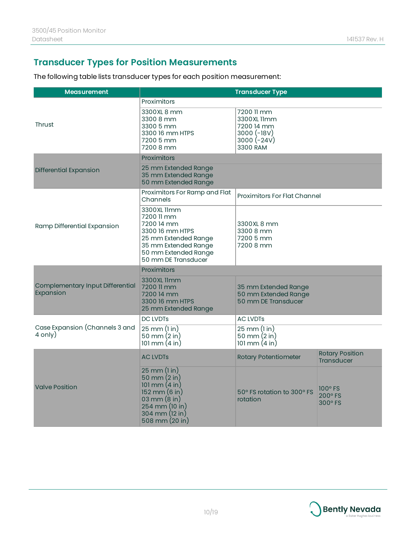### <span id="page-9-0"></span>**Transducer Types for Position Measurements**

The following table lists transducer types for each position measurement:

| <b>Measurement</b>                            | <b>Transducer Type</b>                                                                                                                                                             |                                                                                       |                                             |
|-----------------------------------------------|------------------------------------------------------------------------------------------------------------------------------------------------------------------------------------|---------------------------------------------------------------------------------------|---------------------------------------------|
| <b>Thrust</b>                                 | Proximitors<br>3300XL 8 mm<br>3300 8 mm<br>3300 5 mm<br>3300 16 mm HTPS<br>7200 5 mm<br>7200 8 mm                                                                                  | 7200 11 mm<br>3300XL 11mm<br>7200 14 mm<br>$3000 (-18V)$<br>$3000 (-24V)$<br>3300 RAM |                                             |
|                                               | Proximitors                                                                                                                                                                        |                                                                                       |                                             |
| <b>Differential Expansion</b>                 | 25 mm Extended Range<br>35 mm Extended Range<br>50 mm Extended Range                                                                                                               |                                                                                       |                                             |
|                                               | Proximitors For Ramp and Flat<br>Channels                                                                                                                                          | Proximitors For Flat Channel                                                          |                                             |
| Ramp Differential Expansion                   | 3300XL 11mm<br>7200 11 mm<br>7200 14 mm<br>3300 16 mm HTPS<br>25 mm Extended Range<br>35 mm Extended Range<br>50 mm Extended Range<br>50 mm DE Transducer                          | 3300XL 8 mm<br>3300 8 mm<br>7200 5 mm<br>7200 8 mm                                    |                                             |
|                                               | Proximitors                                                                                                                                                                        |                                                                                       |                                             |
| Complementary Input Differential<br>Expansion | 3300 XL 11mm<br>7200 11 mm<br>7200 14 mm<br>3300 16 mm HTPS<br>25 mm Extended Range                                                                                                | 35 mm Extended Range<br>50 mm Extended Range<br>50 mm DE Transducer                   |                                             |
| <b>DC LVDTs</b>                               |                                                                                                                                                                                    | <b>AC LVDTs</b>                                                                       |                                             |
| Case Expansion (Channels 3 and<br>4 only)     | $25 \, \text{mm}$ (1 in)<br>50 mm $(2 in)$<br>101 mm $(4 \text{ in})$                                                                                                              | 25 mm (1 in)<br>50 mm $(2 in)$<br>101 mm $(4 in)$                                     |                                             |
|                                               | <b>AC LVDTs</b>                                                                                                                                                                    | <b>Rotary Potentiometer</b>                                                           | <b>Rotary Position</b><br><b>Transducer</b> |
| <b>Valve Position</b>                         | $25 \text{ mm}$ $(l \text{ in})$<br>50 mm $(2 in)$<br>101 mm $(4 in)$<br>$152 \text{ mm}$ $(6 \text{ in})$<br>03 mm $(8 in)$<br>254 mm (10 in)<br>304 mm (12 in)<br>508 mm (20 in) | 50° FS rotation to 300° FS<br>rotation                                                | 100° FS<br>200° FS<br>300° FS               |

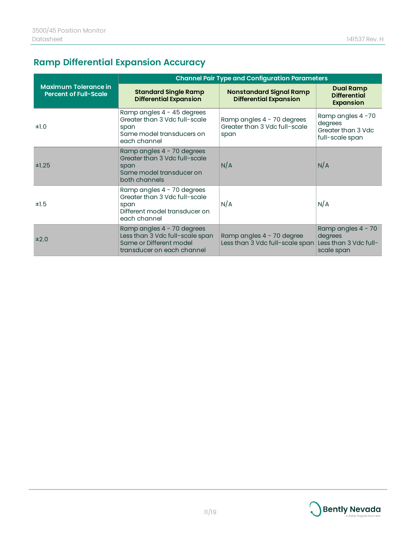# <span id="page-10-0"></span>**Ramp Differential Expansion Accuracy**

|                                                             | <b>Channel Pair Type and Configuration Parameters</b>                                                                  |                                                                     |                                                                      |
|-------------------------------------------------------------|------------------------------------------------------------------------------------------------------------------------|---------------------------------------------------------------------|----------------------------------------------------------------------|
| <b>Maximum Tolerance in</b><br><b>Percent of Full-Scale</b> | <b>Standard Single Ramp</b><br><b>Differential Expansion</b>                                                           | <b>Nonstandard Signal Ramp</b><br><b>Differential Expansion</b>     | <b>Dual Ramp</b><br><b>Differential</b><br><b>Expansion</b>          |
| ±1.0                                                        | Ramp angles 4 - 45 degrees<br>Greater than 3 Vdc full-scale<br>span<br>Same model transducers on<br>each channel       | Ramp angles 4 - 70 degrees<br>Greater than 3 Vdc full-scale<br>span | Ramp angles 4-70<br>degrees<br>Greater than 3 Vdc<br>full-scale span |
| ±1.25                                                       | Ramp angles 4 - 70 degrees<br>Greater than 3 Vdc full-scale<br>span<br>Same model transducer on<br>both channels       | N/A                                                                 | N/A                                                                  |
| ±1.5                                                        | Ramp angles 4 - 70 degrees<br>Greater than 3 Vdc full-scale<br>span<br>Different model transducer on<br>each channel   | N/A                                                                 | N/A                                                                  |
| ±2.0                                                        | Ramp angles 4 - 70 degrees<br>Less than 3 Vdc full-scale span<br>Same or Different model<br>transducer on each channel | Ramp angles 4 - 70 degree<br>Less than 3 Vdc full-scale span        | Ramp angles 4 - 70<br>degrees<br>Less than 3 Vdc full-<br>scale span |

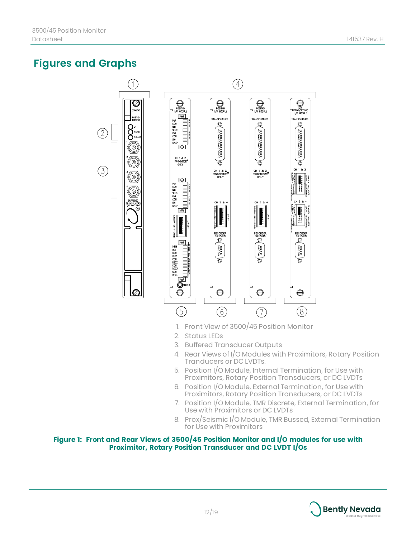## <span id="page-11-0"></span>**Figures and Graphs**

 $(2)$ 

 $\left(3\right)$ 



- 1. Front View of 3500/45 Position Monitor
- 2. Status LEDs
- 3. Buffered Transducer Outputs
- 4. Rear Views of I/O Modules with Proximitors, Rotary Position Tranducers or DC LVDTs.
- 5. Position I/O Module, Internal Termination, for Use with Proximitors, Rotary Position Transducers, or DC LVDTs
- 6. Position I/O Module, External Termination, for Use with Proximitors, Rotary Position Transducers, or DC LVDTs
- 7. Position I/O Module, TMR Discrete, External Termination, for Use with Proximitors or DC LVDTs
- 8. Prox/Seismic I/O Module, TMR Bussed, External Termination for Use with Proximitors

#### **Figure 1: Front and Rear Views of 3500/45 Position Monitor and I/O modules for use with Proximitor, Rotary Position Transducer and DC LVDT I/Os**

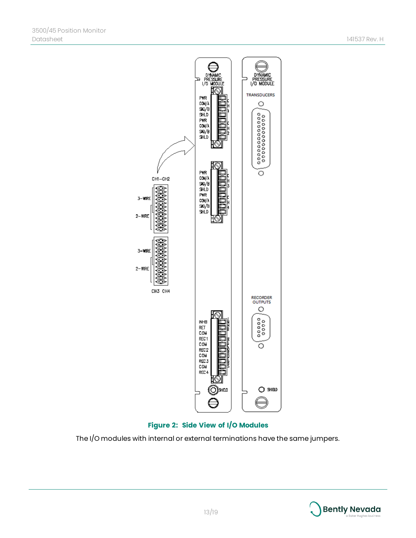



The I/O modules with internal or external terminations have the same jumpers.

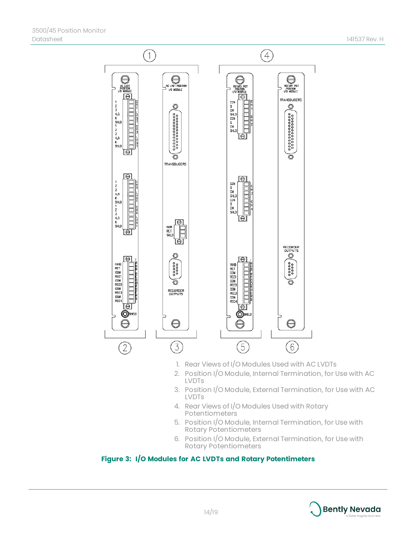

- 1. Rear Views of I/O Modules Used with AC LVDTs
- 2. Position I/O Module, Internal Termination, for Use with AC LVDTs
- 3. Position I/O Module, External Termination, for Use with AC LVDTs
- 4. Rear Views of I/O Modules Used with Rotary Potentiometers
- 5. Position I/O Module, Internal Termination, for Use with Rotary Potentiometers
- 6. Position I/O Module, External Termination, for Use with Rotary Potentiometers

#### <span id="page-13-0"></span>**Figure 3: I/O Modules for AC LVDTs and Rotary Potentimeters**

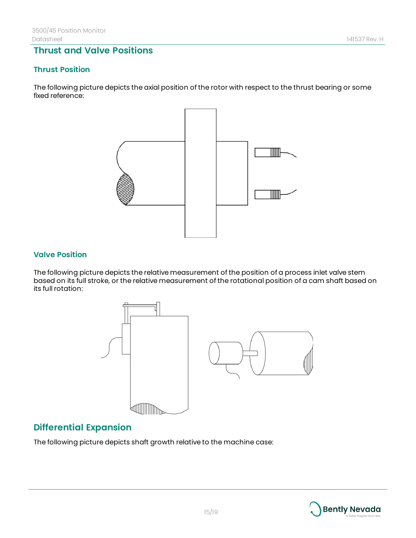### **Thrust and Valve Positions**

#### **Thrust Position**

The following picture depicts the axial position of the rotor with respect to the thrust bearing or some fixed reference:



#### **Valve Position**

The following picture depicts the relative measurement of the position of a process inlet valve stem based on its full stroke, or the relative measurement of the rotational position of a cam shaft based on its full rotation:



### **Differential Expansion**

The following picture depicts shaft growth relative to the machine case:

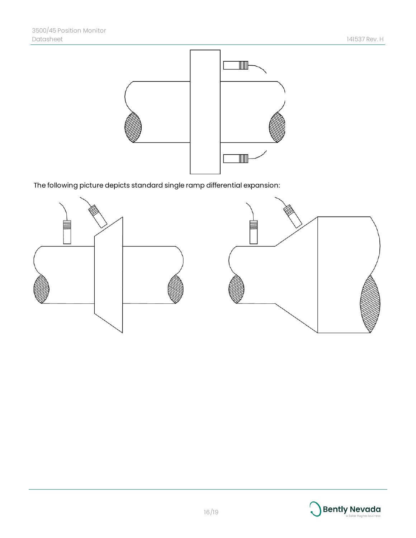

The following picture depicts standard single ramp differential expansion:



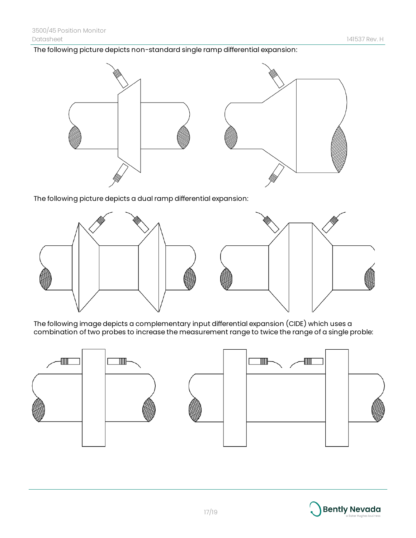The following picture depicts non-standard single ramp differential expansion:



The following picture depicts a dual ramp differential expansion:



The following image depicts a complementary input differential expansion (CIDE) which uses a combination of two probes to increase the measurement range to twice the range of a single proble:



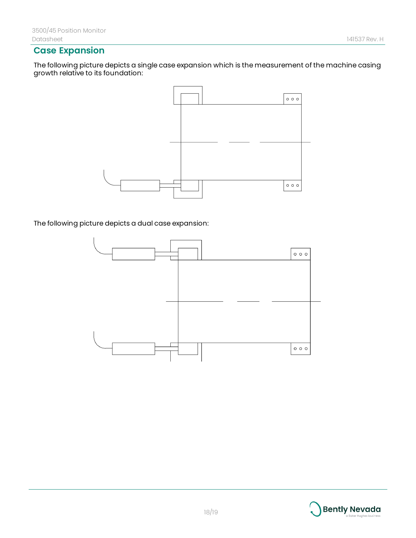### **Case Expansion**

The following picture depicts a single case expansion which is the measurement of the machine casing growth relative to its foundation:



The following picture depicts a dual case expansion: